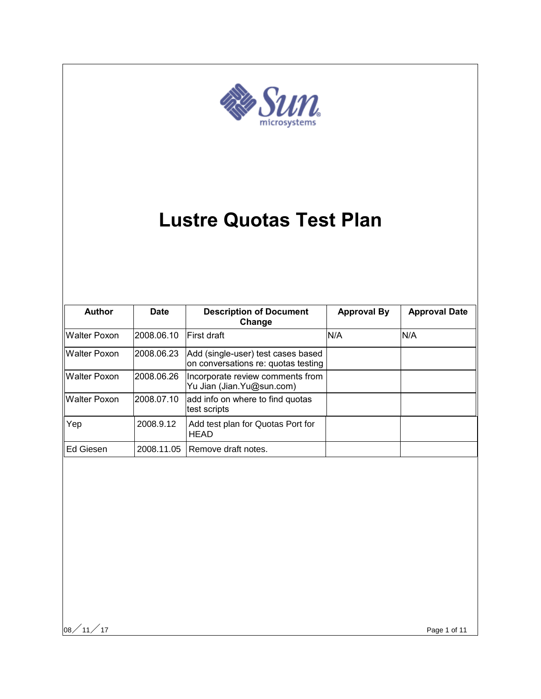

# **Lustre Quotas Test Plan**

| <b>Author</b>       | <b>Date</b> | <b>Description of Document</b><br>Change                                  | <b>Approval By</b> | <b>Approval Date</b> |
|---------------------|-------------|---------------------------------------------------------------------------|--------------------|----------------------|
| Walter Poxon        | 2008.06.10  | First draft                                                               | N/A                | N/A                  |
| Walter Poxon        | 2008.06.23  | Add (single-user) test cases based<br>on conversations re: quotas testing |                    |                      |
| <b>Walter Poxon</b> | 2008.06.26  | Incorporate review comments from<br>Yu Jian (Jian. Yu@sun.com)            |                    |                      |
| <b>Walter Poxon</b> | 2008.07.10  | add info on where to find quotas<br>test scripts                          |                    |                      |
| Yep                 | 2008.9.12   | Add test plan for Quotas Port for<br><b>HEAD</b>                          |                    |                      |
| Ed Giesen           | 2008.11.05  | Remove draft notes.                                                       |                    |                      |

 $|08 \diagup 11 \diagup 17$  Page 1 of 11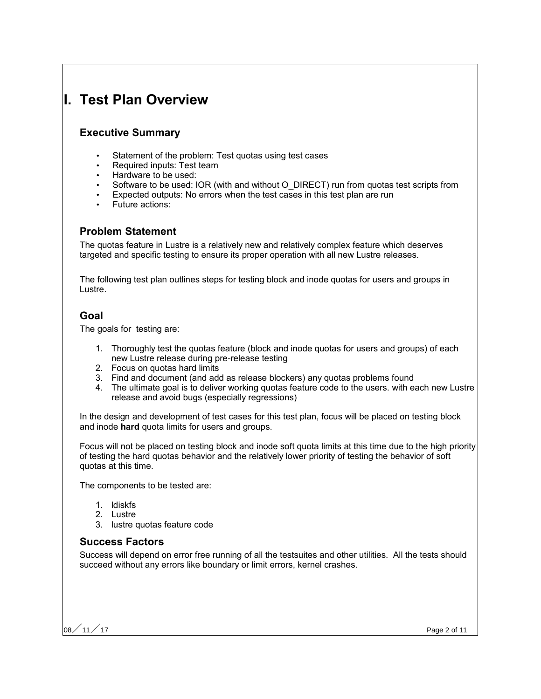# **I. Test Plan Overview**

### **Executive Summary**

- Statement of the problem: Test quotas using test cases
- Required inputs: Test team
- Hardware to be used:
- Software to be used: IOR (with and without O\_DIRECT) run from quotas test scripts from
- Expected outputs: No errors when the test cases in this test plan are run
- Future actions:

### **Problem Statement**

The quotas feature in Lustre is a relatively new and relatively complex feature which deserves targeted and specific testing to ensure its proper operation with all new Lustre releases.

The following test plan outlines steps for testing block and inode quotas for users and groups in Lustre.

# **Goal**

The goals for testing are:

- 1. Thoroughly test the quotas feature (block and inode quotas for users and groups) of each new Lustre release during pre-release testing
- 2. Focus on quotas hard limits
- 3. Find and document (and add as release blockers) any quotas problems found
- 4. The ultimate goal is to deliver working quotas feature code to the users. with each new Lustre release and avoid bugs (especially regressions)

In the design and development of test cases for this test plan, focus will be placed on testing block and inode **hard** quota limits for users and groups.

Focus will not be placed on testing block and inode soft quota limits at this time due to the high priority of testing the hard quotas behavior and the relatively lower priority of testing the behavior of soft quotas at this time.

The components to be tested are:

- 1. ldiskfs
- 2. Lustre
- 3. lustre quotas feature code

#### **Success Factors**

Success will depend on error free running of all the testsuites and other utilities. All the tests should succeed without any errors like boundary or limit errors, kernel crashes.

08 $/$  11 $/$  17  $\,$  Page 2 of 11  $\,$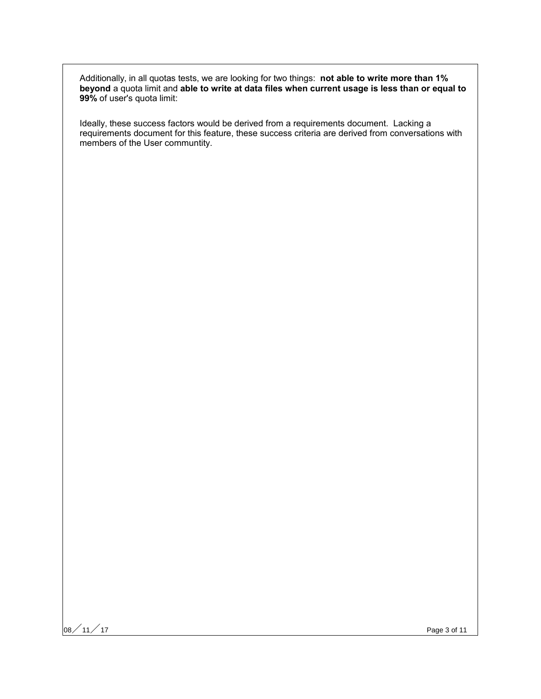Additionally, in all quotas tests, we are looking for two things: **not able to write more than 1% beyond** a quota limit and **able to write at data files when current usage is less than or equal to 99%** of user's quota limit:

Ideally, these success factors would be derived from a requirements document. Lacking a requirements document for this feature, these success criteria are derived from conversations with members of the User communtity.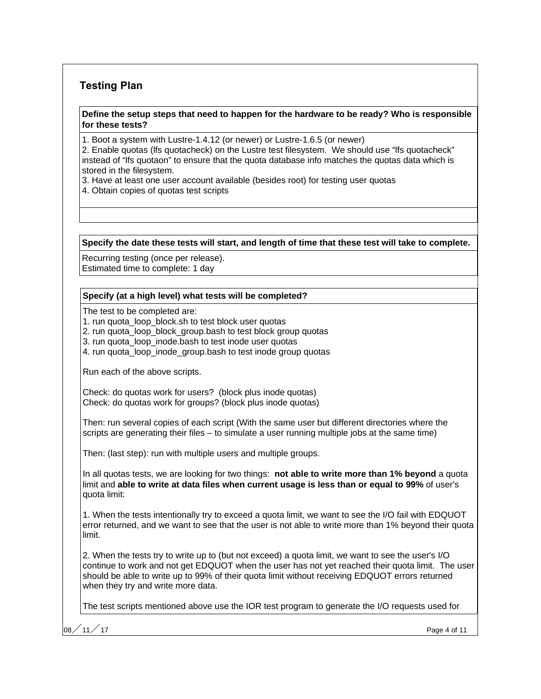# **Testing Plan**

#### **Define the setup steps that need to happen for the hardware to be ready? Who is responsible for these tests?**

1. Boot a system with Lustre-1.4.12 (or newer) or Lustre-1.6.5 (or newer)

2. Enable quotas (lfs quotacheck) on the Lustre test filesystem. We should use "lfs quotacheck" instead of "lfs quotaon" to ensure that the quota database info matches the quotas data which is stored in the filesystem.

- 3. Have at least one user account available (besides root) for testing user quotas
- 4. Obtain copies of quotas test scripts

**Specify the date these tests will start, and length of time that these test will take to complete.**

Recurring testing (once per release).

Estimated time to complete: 1 day

#### **Specify (at a high level) what tests will be completed?**

The test to be completed are:

1. run quota loop block.sh to test block user quotas

2. run quota loop block group.bash to test block group quotas

3. run quota\_loop\_inode.bash to test inode user quotas

4. run quota\_loop\_inode\_group.bash to test inode group quotas

Run each of the above scripts.

Check: do quotas work for users? (block plus inode quotas) Check: do quotas work for groups? (block plus inode quotas)

Then: run several copies of each script (With the same user but different directories where the scripts are generating their files – to simulate a user running multiple jobs at the same time)

Then: (last step): run with multiple users and multiple groups.

In all quotas tests, we are looking for two things: **not able to write more than 1% beyond** a quota limit and **able to write at data files when current usage is less than or equal to 99%** of user's quota limit:

1. When the tests intentionally try to exceed a quota limit, we want to see the I/O fail with EDQUOT error returned, and we want to see that the user is not able to write more than 1% beyond their quota limit.

2. When the tests try to write up to (but not exceed) a quota limit, we want to see the user's I/O continue to work and not get EDQUOT when the user has not yet reached their quota limit. The user should be able to write up to 99% of their quota limit without receiving EDQUOT errors returned when they try and write more data.

The test scripts mentioned above use the IOR test program to generate the I/O requests used for

08 $/$  11 $/$  17  $\,$  Page 4 of 11  $\,$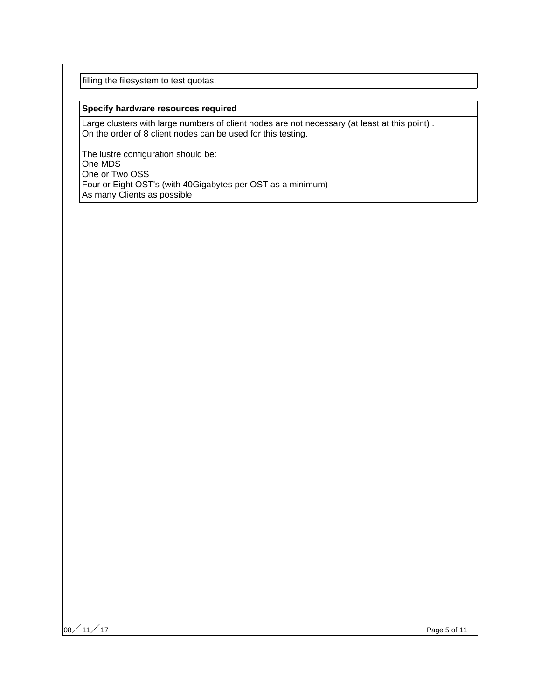filling the filesystem to test quotas.

#### **Specify hardware resources required**

Large clusters with large numbers of client nodes are not necessary (at least at this point) . On the order of 8 client nodes can be used for this testing.

The lustre configuration should be: One MDS One or Two OSS Four or Eight OST's (with 40Gigabytes per OST as a minimum) As many Clients as possible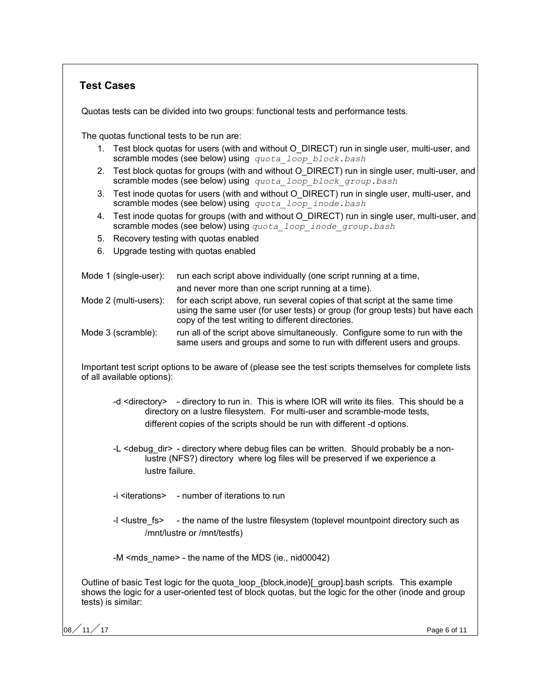## **Test Cases**

Quotas tests can be divided into two groups: functional tests and performance tests.

The quotas functional tests to be run are:

- 1. Test block quotas for users (with and without O\_DIRECT) run in single user, multi-user, and scramble modes (see below) using *quota\_loop\_block.bash*
- 2. Test block quotas for groups (with and without O\_DIRECT) run in single user, multi-user, and scramble modes (see below) using *quota\_loop\_block\_group.bash*
- 3. Test inode quotas for users (with and without O\_DIRECT) run in single user, multi-user, and scramble modes (see below) using *quota\_loop\_inode.bash*
- 4. Test inode quotas for groups (with and without O\_DIRECT) run in single user, multi-user, and scramble modes (see below) using *quota\_loop\_inode\_group.bash*
- 5. Recovery testing with quotas enabled
- 6. Upgrade testing with quotas enabled

| Mode 1 (single-user): | run each script above individually (one script running at a time,<br>and never more than one script running at a time).                                                                                          |
|-----------------------|------------------------------------------------------------------------------------------------------------------------------------------------------------------------------------------------------------------|
| Mode 2 (multi-users): | for each script above, run several copies of that script at the same time<br>using the same user (for user tests) or group (for group tests) but have each<br>copy of the test writing to different directories. |
| Mode 3 (scramble):    | run all of the script above simultaneously. Configure some to run with the<br>same users and groups and some to run with different users and groups.                                                             |

Important test script options to be aware of (please see the test scripts themselves for complete lists of all available options):

- -d <directory> directory to run in. This is where IOR will write its files. This should be a directory on a lustre filesystem. For multi-user and scramble-mode tests, different copies of the scripts should be run with different -d options.
- -L <debug dir> directory where debug files can be written. Should probably be a nonlustre (NFS?) directory where log files will be preserved if we experience a lustre failure.
- -i <iterations> number of iterations to run
- -I <lustre fs> the name of the lustre filesystem (toplevel mountpoint directory such as /mnt/lustre or /mnt/testfs)

-M <mds\_name> - the name of the MDS (ie., nid00042)

Outline of basic Test logic for the quota\_loop\_{block,inode}[\_group].bash scripts. This example shows the logic for a user-oriented test of block quotas, but the logic for the other (inode and group tests) is similar:

08 $/$  11 $/$  17  $\,$  Page 6 of 11  $\,$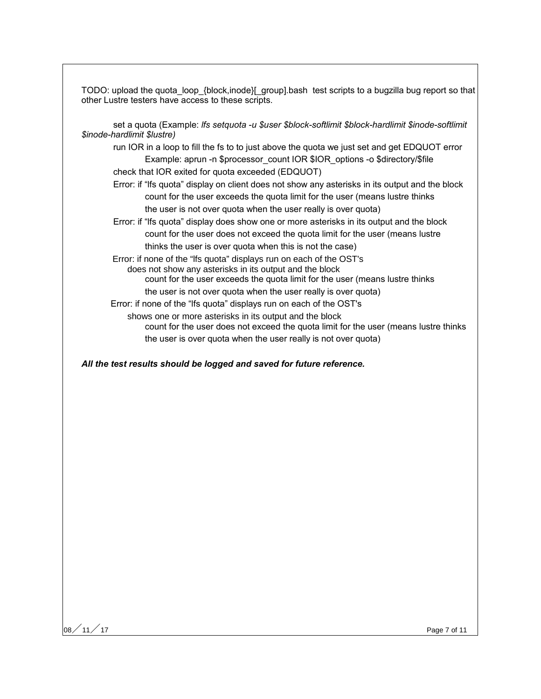TODO: upload the quota\_loop\_{block,inode}[\_group].bash test scripts to a bugzilla bug report so that other Lustre testers have access to these scripts.

set a quota (Example: *lfs setquota -u \$user \$block-softlimit \$block-hardlimit \$inode-softlimit \$inode-hardlimit \$lustre)*

run IOR in a loop to fill the fs to to just above the quota we just set and get EDQUOT error Example: aprun -n \$processor\_count IOR \$IOR\_options -o \$directory/\$file

check that IOR exited for quota exceeded (EDQUOT)

Error: if "lfs quota" display on client does not show any asterisks in its output and the block count for the user exceeds the quota limit for the user (means lustre thinks the user is not over quota when the user really is over quota)

Error: if "lfs quota" display does show one or more asterisks in its output and the block count for the user does not exceed the quota limit for the user (means lustre thinks the user is over quota when this is not the case)

 Error: if none of the "lfs quota" displays run on each of the OST's does not show any asterisks in its output and the block count for the user exceeds the quota limit for the user (means lustre thinks

the user is not over quota when the user really is over quota)

Error: if none of the "lfs quota" displays run on each of the OST's

shows one or more asterisks in its output and the block

count for the user does not exceed the quota limit for the user (means lustre thinks the user is over quota when the user really is not over quota)

*All the test results should be logged and saved for future reference.*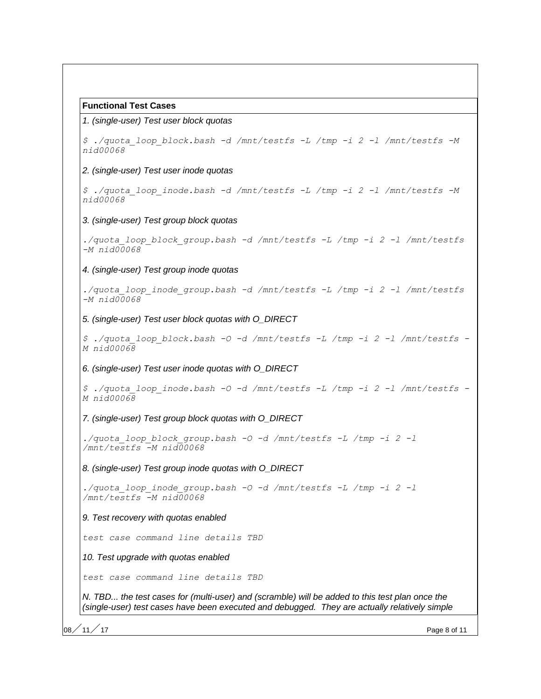#### **Functional Test Cases**

#### 1. (single-user) Test user block quotas

*\$ ./quota\_loop\_block.bash -d /mnt/testfs -L /tmp -i 2 -l /mnt/testfs -M nid00068* 2. (single-user) Test user inode quotas *\$ ./quota\_loop\_inode.bash -d /mnt/testfs -L /tmp -i 2 -l /mnt/testfs -M nid00068* 3. (single-user) Test group block quotas *./quota\_loop\_block\_group.bash -d /mnt/testfs -L /tmp -i 2 -l /mnt/testfs -M nid00068* 4. (single-user) Test group inode quotas *./quota\_loop\_inode\_group.bash -d /mnt/testfs -L /tmp -i 2 -l /mnt/testfs -M nid00068* 5. (single-user) Test user block quotas with O\_DIRECT *\$ ./quota\_loop\_block.bash -O -d /mnt/testfs -L /tmp -i 2 -l /mnt/testfs - M nid00068* 6. (single-user) Test user inode quotas with O\_DIRECT *\$ ./quota\_loop\_inode.bash -O -d /mnt/testfs -L /tmp -i 2 -l /mnt/testfs - M nid00068* 7. (single-user) Test group block quotas with O\_DIRECT *./quota\_loop\_block\_group.bash -O -d /mnt/testfs -L /tmp -i 2 -l /mnt/testfs -M nid00068* 8. (single-user) Test group inode quotas with O\_DIRECT *./quota\_loop\_inode\_group.bash -O -d /mnt/testfs -L /tmp -i 2 -l /mnt/testfs -M nid00068* 9. Test recovery with quotas enabled *test case command line details TBD* 10. Test upgrade with quotas enabled *test case command line details TBD* N. TBD... the test cases for (multi-user) and (scramble) will be added to this test plan once the (single-user) test cases have been executed and debugged. They are actually relatively simple

08 $/$  11 $/$  17  $\,$  Page 8 of 11  $\,$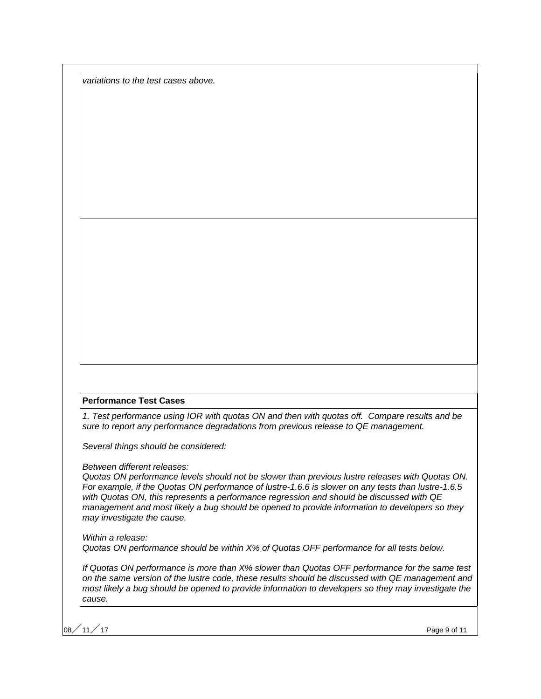variations to the test cases above.

#### **Performance Test Cases**

1. Test performance using IOR with quotas ON and then with quotas off. Compare results and be sure to report any performance degradations from previous release to QE management.

Several things should be considered:

Between different releases:

Quotas ON performance levels should not be slower than previous lustre releases with Quotas ON. For example, if the Quotas ON performance of lustre-1.6.6 is slower on any tests than lustre-1.6.5 with Quotas ON, this represents a performance regression and should be discussed with QE management and most likely a bug should be opened to provide information to developers so they may investigate the cause.

Within a release: Quotas ON performance should be within X% of Quotas OFF performance for all tests below.

If Quotas ON performance is more than X% slower than Quotas OFF performance for the same test on the same version of the lustre code, these results should be discussed with QE management and most likely a bug should be opened to provide information to developers so they may investigate the cause.

 $\sim$  11  $\neq$  17 Page 9 of 11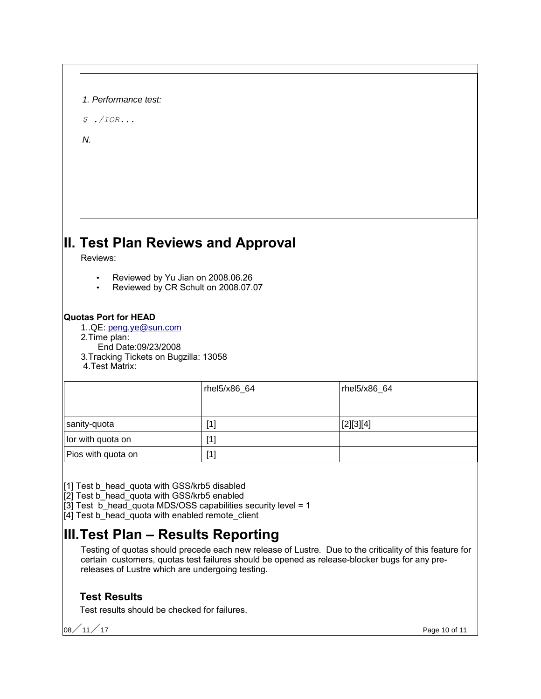| 1. Performance test: |
|----------------------|
|----------------------|

*\$ ./IOR...*

N.

# **II. Test Plan Reviews and Approval**

Reviews:

- Reviewed by Yu Jian on 2008.06.26
- Reviewed by CR Schult on 2008.07.07

### **Quotas Port for HEAD**

1..QE: [peng.ye@sun.com](mailto:peng.ye@sun.com)

- 2.Time plan:
- End Date:09/23/2008
- 3.Tracking Tickets on Bugzilla: 13058
- 4.Test Matrix:

|                    | rhel5/x86_64 | rhel5/x86_64 |
|--------------------|--------------|--------------|
| sanity-quota       | [1]          | [2][3][4]    |
| lor with quota on  | $[1]$        |              |
| Pios with quota on | [1]          |              |

[1] Test b\_head\_quota with GSS/krb5 disabled

[2] Test b\_head\_quota with GSS/krb5 enabled

 $\overline{3}$ ] Test  $\overline{b}$  head quota MDS/OSS capabilities security level = 1

[4] Test b\_head\_quota with enabled remote\_client

# **III.Test Plan – Results Reporting**

Testing of quotas should precede each new release of Lustre. Due to the criticality of this feature for certain customers, quotas test failures should be opened as release-blocker bugs for any prereleases of Lustre which are undergoing testing.

# **Test Results**

Test results should be checked for failures.

08 $/$  11 $/$  17  $\,$  Page 10 of 11  $\,$